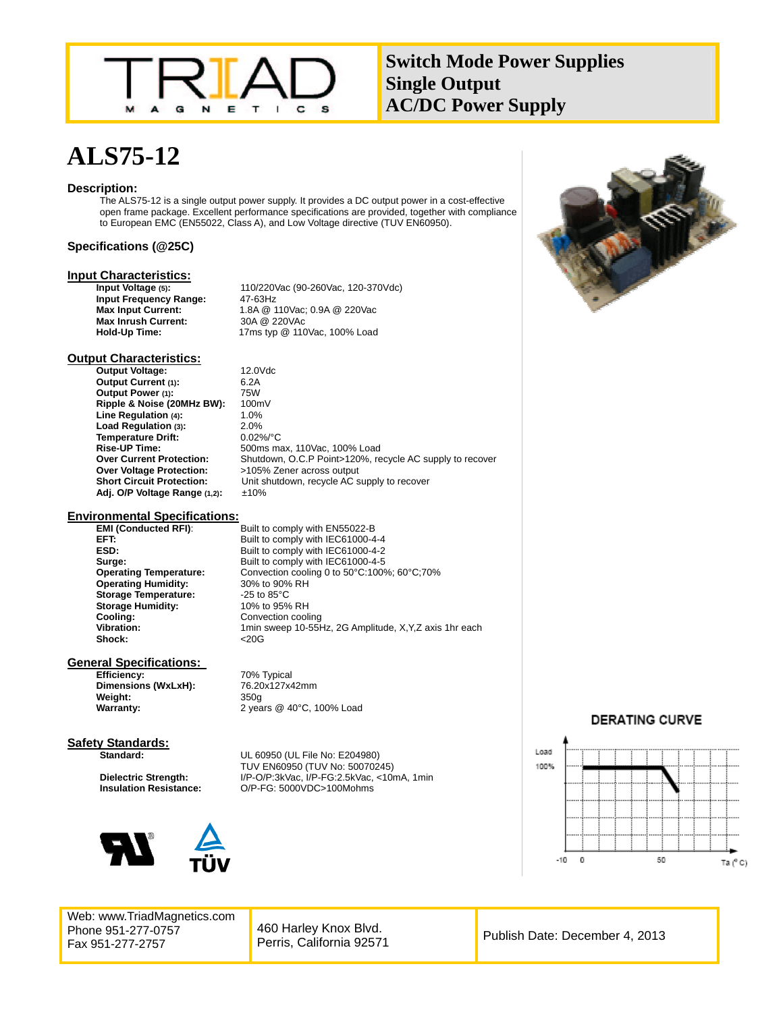

**Switch Mode Power Supplies Single Output AC/DC Power Supply** 

# **ALS75-12**

### **Description:**

The ALS75-12 is a single output power supply. It provides a DC output power in a cost-effective open frame package. Excellent performance specifications are provided, together with compliance to European EMC (EN55022, Class A), and Low Voltage directive (TUV EN60950).

### **Specifications (@25C)**

# **Input Characteristics:**<br>Input Voltage (5):

**Input Frequency Range:** 47-63Hz<br>**Max Input Current:** 1.8A @ 1 **Max Inrush Current:**<br>Hold-Up Time:

**Input Voltage (5):** 110/220Vac (90-260Vac, 120-370Vdc) 1.8A @ 110Vac; 0.9A @ 220Vac<br>30A @ 220VAc **Hold-Up Time:** 17ms typ @ 110Vac, 100% Load

# **Output Characteristics:**

**Output Voltage:** 12.0Vdc<br> **Output Current** (1): 6.2A **Output Current (1):** 6.2A<br> **Output Power (1):** 75W **Output Power (1): Ripple & Noise (20MHz BW):** 100mV<br>**Line Regulation (4):** 1.0% Line Regulation (4): 1.0%<br> **Load Regulation (3):** 2.0% Load Regulation (3): 2.0%<br>
Temperature Drift: 0.02%/°C **Temperature Drift:**<br>Rise-UP Time: **Rise-UP Time:** 500ms max, 110Vac, 100% Load Shutdown, O.C.P Point>120%, recycle AC supply to recover **Over Voltage Protection:** >105% Zener across output **Short Circuit Protection:** Unit shutdown, recycle AC supply to recover **Adj. O/P Voltage Range (1,2):** ±10%

### **Environmental Specifications:**

**Operating Humidity:** 30% to 90%<br>**Storage Temperature:** 25 to 85°C Storage Temperature: **Storage Humidity:** 10% to 95% RH<br> **Cooling:** Convection cooli **Cooling:** Convection cooling<br> **Vibration:** 1 Thin sweep 10-55 Shock: <20G

**EMI (Conducted RFI):** Built to comply with EN55022-B **EFT:** Built to comply with IEC61000-4-4<br> **ESD:** Built to comply with IEC61000-4-2 **ESD:** Built to comply with IEC61000-4-2 **Surge: Built to comply with IEC61000-4-5 Operating Temperature:** Convection cooling 0 to 50°C:100%; 60°C;70%<br>**Operating Humidity:** 30% to 90% RH **Vibration:** 1min sweep 10-55Hz, 2G Amplitude, X,Y,Z axis 1hr each

# **General Specifications:**<br>**Efficiency:**

**Dimensions (WxLxH):** 76.20x127x42mm **Weight:** 350g

**Efficiency:** 70% Typical **Warranty:** 2 years @ 40°C, 100% Load

#### **Safety Standards: Standard:** UL 60950 (UL File No: E204980)



Web: www.TriadMagnetics.com Phone 951-277-0757 Fax 951-277-2757

**TUV EN60950 (TUV No: 50070245)<br>I/P-O/P:3kVac, I/P-FG:2.5kVac, <10r** I/P-O/P:3kVac, I/P-FG:2.5kVac, <10mA, 1min **Insulation Resistance:** O/P-FG: 5000VDC>100Mohms



# **DERATING CURVE**



460 Harley Knox Blvd. Perris, California 92571 Publish Date: December 4, 2013